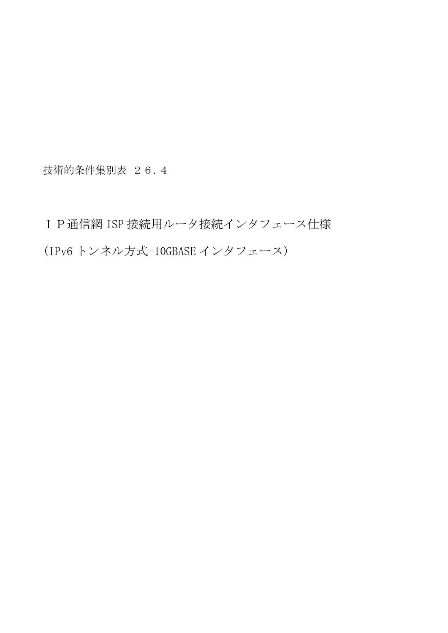技術的条件集別表 26.4

IP通信網 ISP 接続用ルータ接続インタフェース仕様 (IPv6 トンネル方式-10GBASE インタフェース)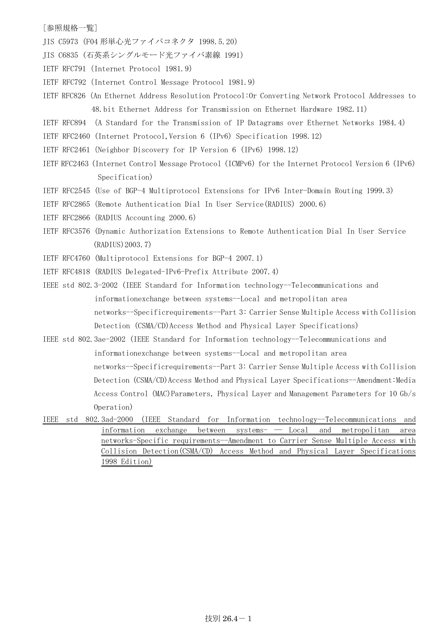## [参照規格一覧]

- JIS C5973 (F04 形単心光ファイバコネクタ 1998.5.20)
- JIS C6835 (石英系シングルモード光ファイバ素線 1991)
- IETF RFC791(Internet Protocol 1981.9)
- IETF RFC792(Internet Control Message Protocol 1981.9)
- IETF RFC826(An Ethernet Address Resolution Protocol:Or Converting Network Protocol Addresses to 48.bit Ethernet Address for Transmission on Ethernet Hardware 1982.11)
- IETF RFC894 (A Standard for the Transmission of IP Datagrams over Ethernet Networks 1984.4)
- IETF RFC2460 (Internet Protocol,Version 6 (IPv6) Specification 1998.12)
- IETF RFC2461(Neighbor Discovery for IP Version 6 (IPv6) 1998.12)
- IETF RFC2463 (Internet Control Message Protocol (ICMPv6) for the Internet Protocol Version 6 (IPv6) Specification)
- IETF RFC2545 (Use of BGP-4 Multiprotocol Extensions for IPv6 Inter-Domain Routing 1999.3)
- IETF RFC2865(Remote Authentication Dial In User Service(RADIUS) 2000.6)
- IETF RFC2866(RADIUS Accounting 2000.6)
- IETF RFC3576 (Dynamic Authorization Extensions to Remote Authentication Dial In User Service (RADIUS)2003.7)
- IETF RFC4760 (Multiprotocol Extensions for BGP-4 2007.1)
- IETF RFC4818 (RADIUS Delegated-IPv6-Prefix Attribute 2007.4)
- IEEE std 802.3-2002 (IEEE Standard for Information technology--Telecommunications and informationexchange between systems--Local and metropolitan area networks--Specificrequirements--Part 3: Carrier Sense Multiple Access with Collision Detection (CSMA/CD)Access Method and Physical Layer Specifications)
- IEEE std 802.3ae-2002 (IEEE Standard for Information technology--Telecommunications and informationexchange between systems--Local and metropolitan area networks--Specificrequirements--Part 3: Carrier Sense Multiple Access with Collision Detection (CSMA/CD)Access Method and Physical Layer Specifications--Amendment:Media Access Control (MAC)Parameters, Physical Layer and Management Parameters for 10 Gb/s Operation)
- IEEE std 802.3ad-2000 (IEEE Standard for Information technology--Telecommunications and information exchange between systems- ― Local and metropolitan area networks-Specific requirements--Amendment to Carrier Sense Multiple Access with Collision Detection(CSMA/CD) Access Method and Physical Layer Specifications 1998 Edition)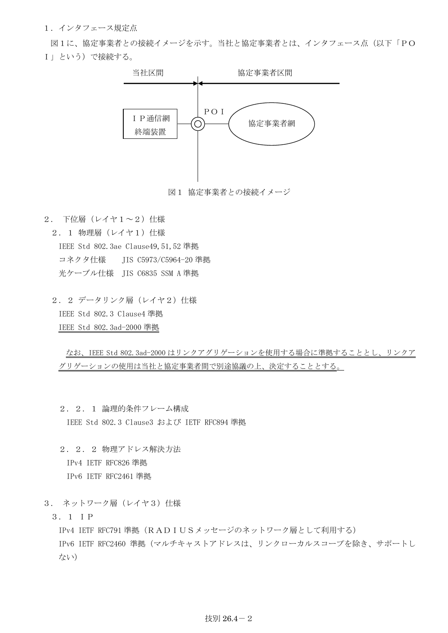1.インタフェース規定点

図1に、協定事業者との接続イメージを示す。当社と協定事業者とは、インタフェース点(以下「PO I」という)で接続する。



図1 協定事業者との接続イメージ

2. 下位層(レイヤ1~2)仕様

2. 1 物理層 (レイヤ1) 仕様 IEEE Std 802.3ae Clause49,51,52 準拠 コネクタ什様 IIS C5973/C5964-20 準拠 光ケーブル仕様 JIS C6835 SSM A 準拠

2. 2 データリンク層 (レイヤ2) 仕様 IEEE Std 802.3 Clause4 準拠 IEEE Std 802.3ad-2000 準拠

なお、IEEE Std 802.3ad-2000 はリンクアグリゲーションを使用する場合に準拠することとし、リンクア グリゲーションの使用は当社と協定事業者間で別途協議の上、決定することとする。

- 2.2.1 論理的条件フレーム構成 IEEE Std 802.3 Clause3 および IETF RFC894 準拠
- 2.2.2 物理アドレス解決方法 IPv4 IETF RFC826 準拠 IPv6 IETF RFC2461 準拠
- 3. ネットワーク層 (レイヤ3)仕様
	- 3.1 IP

IPv4 IETF RFC791 準拠 (RADIUSメッセージのネットワーク層として利用する) IPv6 IETF RFC2460 準拠(マルチキャストアドレスは、リンクローカルスコープを除き、サポートし ない)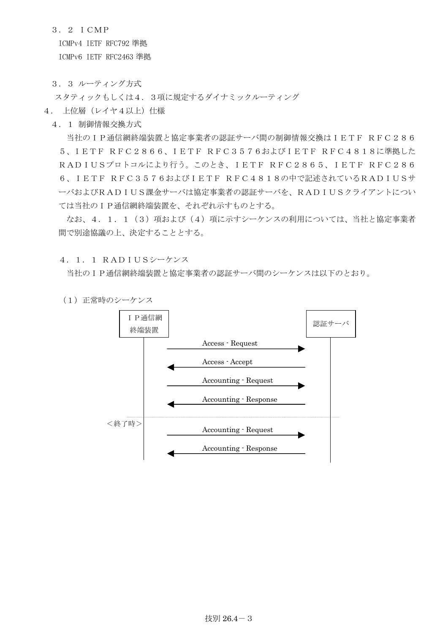3.2 ICMP

ICMPv4 IETF RFC792 準拠

ICMPv6 IETF RFC2463 準拠

3.3 ルーティング方式

スタティックもしくは4.3項に規定するダイナミックルーティング

- 4. 上位層 (レイヤ4以上) 仕様
	- 4.1 制御情報交換方式

 当社のIP通信網終端装置と協定事業者の認証サーバ間の制御情報交換はIETF RFC286 5、IETF RFC2866、IETF RFC3576およびIETF RFC4818に準拠した RADIUSプロトコルにより行う。このとき、IETF RFC2865、IETF RFC286 6、IETF RFC3576およびIETF RFC4818の中で記述されているRADIUSサ ーバおよびRADIUS課金サーバは協定事業者の認証サーバを、RADIUSクライアントについ ては当社のIP通信網終端装置を、それぞれ示すものとする。

なお、4.1.1(3)項および(4)項に示すシーケンスの利用については、当社と協定事業者 間で別途協議の上、決定することとする。

4.1.1 RADIUSシーケンス

当社のIP通信網終端装置と協定事業者の認証サーバ間のシーケンスは以下のとおり。

(1)正常時のシーケンス

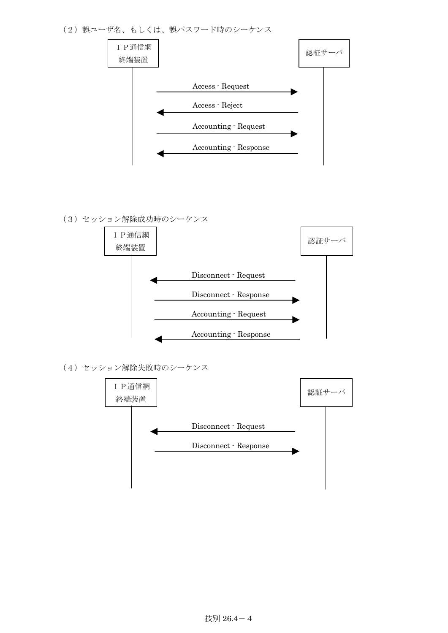(2) 誤ユーザ名、もしくは、誤パスワード時のシーケンス



(3)セッション解除成功時のシーケンス



(4)セッション解除失敗時のシーケンス

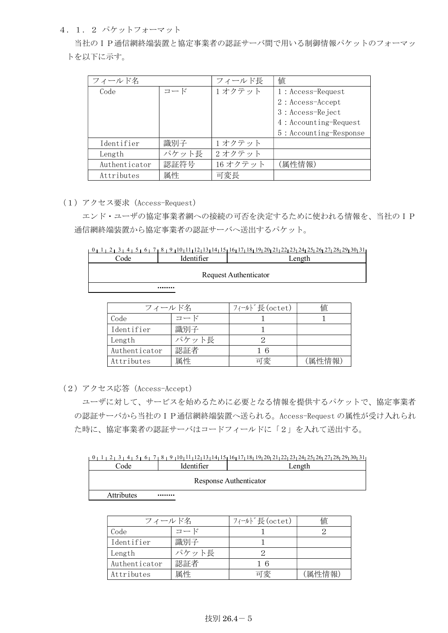4.1.2 パケットフォーマット

 当社のIP通信網終端装置と協定事業者の認証サーバ間で用いる制御情報パケットのフォーマッ トを以下に示す。

| フィールド名        |       | フィールド長  | 値                      |
|---------------|-------|---------|------------------------|
| Code          | コード   | 1オクテット  | $1: Access-Request$    |
|               |       |         | $2: Access - Accept$   |
|               |       |         | 3 : Access-Reject      |
|               |       |         | 4: Accounting-Request  |
|               |       |         | 5: Accounting-Response |
| Identifier    | 識別子   | 1オクテット  |                        |
| Length        | パケット長 | 2オクテット  |                        |
| Authenticator | 認証符号  | 16オクテット | (属性情報)                 |
| Attributes    | 属性    | 可変長     |                        |

(1)アクセス要求(Access-Request)

 エンド・ユーザの協定事業者網への接続の可否を決定するために使われる情報を、当社のIP 通信網終端装置から協定事業者の認証サーバへ送出するパケット。

|      |                       | $0$ $1$ $1$ $2$ $1$ $3$ $1$ $4$ $1$ $5$ $1$ $6$ $1$ $7$ $1$ $8$ $1$ $9$ $1$ $10$ $11$ $1$ $12$ $13$ $1$ $14$ $15$ $16$ $17$ $18$ $19$ $12$ $12$ $12$ $12$ $23$ $124$ $125$ $126$ $127$ $128$ $129$ $130$ $11$ |  |  |  |
|------|-----------------------|---------------------------------------------------------------------------------------------------------------------------------------------------------------------------------------------------------------|--|--|--|
| Code | Identifier            | Length                                                                                                                                                                                                        |  |  |  |
|      | Request Authenticator |                                                                                                                                                                                                               |  |  |  |
|      |                       |                                                                                                                                                                                                               |  |  |  |

| フィールド名        |       | フィールド長(octet) | 値      |
|---------------|-------|---------------|--------|
| Code          | コード   |               |        |
| Identifier    | 識別子   |               |        |
| Length        | パケット長 |               |        |
| Authenticator | 認証者   | 16            |        |
| Attributes    | 属性    | 可変            | (属性情報) |

(2)アクセス応答(Access-Accept)

 ユーザに対して、サービスを始めるために必要となる情報を提供するパケットで、協定事業者 の認証サーバから当社のIP通信網終端装置へ送られる。Access-Request の属性が受け入れられ た時に、協定事業者の認証サーバはコードフィールドに「2」を入れて送出する。

0 1 2 3 4 5 6 7 6 1 2 3 4 5 6 7 7 8 7 9 10 11 12 13 14 15 1 5 1 6 1 7 1 8 1 9 20 21 22 23 24 25 26 27 28 29 30 31

| $\mathrm{Code}$ | Identifier | ength                  |
|-----------------|------------|------------------------|
|                 |            | Response Authenticator |
| Attributes      |            |                        |

| フィールド名        |       | フィールド長(octet) | 値      |
|---------------|-------|---------------|--------|
| Code          | コード   |               |        |
| Identifier    | 識別子   |               |        |
| Length        | パケット長 |               |        |
| Authenticator | 認証者   | 16            |        |
| Attributes    | 属性    | 可変            | (属性情報) |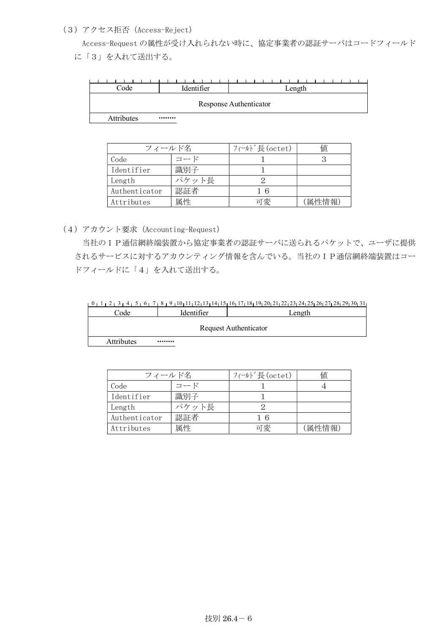## (3)アクセス拒否(Access-Reject)

 Access-Request の属性が受け入れられない時に、協定事業者の認証サーバはコードフィールド に「3」を入れて送出する。

| Code       | Identifier | Length                 |
|------------|------------|------------------------|
|            |            | Response Authenticator |
| Attributes |            |                        |

| フィールド名        |       | フィールド長(octet) | 値      |
|---------------|-------|---------------|--------|
| Code          | コード   |               |        |
| Identifier    | 識別子   |               |        |
| Length        | パケット長 |               |        |
| Authenticator | 認証者   | 16            |        |
| Attributes    | 属性    | 可変            | (属性情報) |

(4)アカウント要求(Accounting-Request)

 当社のIP通信網終端装置から協定事業者の認証サーバに送られるパケットで、ユーザに提供 されるサービスに対するアカウンティング情報を含んでいる。当社のIP通信網終端装置はコー ドフィールドに「4」を入れて送出する。

 $10111213141516171811912012122123124125126127128129130131$ 

| Code       | <b>Identifier</b> | Length                |
|------------|-------------------|-----------------------|
|            |                   |                       |
|            |                   | Request Authenticator |
| Attributes |                   |                       |

| Attributes |  |  |  |  |
|------------|--|--|--|--|
|            |  |  |  |  |

| フィールド名        |       | フィールド長(octet) | 値      |
|---------------|-------|---------------|--------|
| Code          | コード   |               |        |
| Identifier    | 識別子   |               |        |
| Length        | パケット長 |               |        |
| Authenticator | 認証者   | 16            |        |
| Attributes    | 属性    | 可変            | (属性情報) |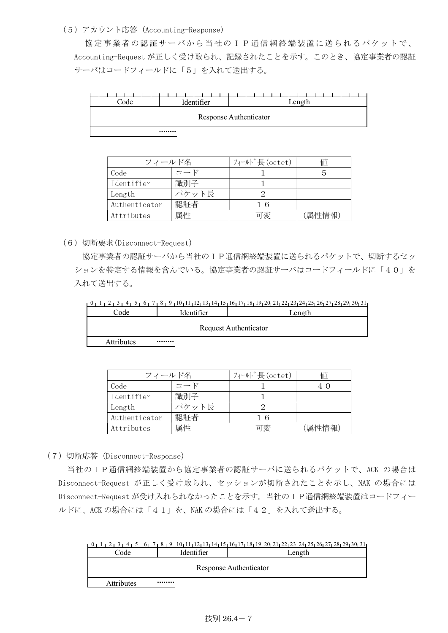## (5)アカウント応答(Accounting-Response)

協定事業者の認証サーバから当社のIP通信網終端装置に送られるパケットで、 Accounting-Request が正しく受け取られ、記録されたことを示す。このとき、協定事業者の認証 サーバはコードフィールドに「5」を入れて送出する。

| Code | Identifier | Length                 |
|------|------------|------------------------|
|      |            | Response Authenticator |
|      |            |                        |

| フィールド名        |       | フィールド長(octet) | 値      |
|---------------|-------|---------------|--------|
| Code          | コード   |               |        |
| Identifier    | 識別子   |               |        |
| Length        | パケット長 |               |        |
| Authenticator | 認証者   | 16            |        |
| Attributes    | 属性    | 可変            | (属性情報) |

(6)切断要求(Disconnect-Request)

 協定事業者の認証サーバから当社のIP通信網終端装置に送られるパケットで、切断するセッ ションを特定する情報を含んでいる。協定事業者の認証サーバはコードフィールドに「40」を 入れて送出する。

0 1 2 3 4 5 6 7 8 9 10 11 12 13 14 15 16 17 18 19 20 21 22 23 24 25 26 27 28 29 30 31

| $\mathrm{Code}$   | Identifier | ∟ength                |
|-------------------|------------|-----------------------|
|                   |            | Request Authenticator |
| <b>Attributes</b> |            |                       |

| フィールド名        |       | フィールド長(octet) | 値 |
|---------------|-------|---------------|---|
| Code          | コード   |               |   |
| Identifier    | 識別子   |               |   |
| Length        | パケット長 |               |   |
| Authenticator | 認証者   |               |   |

Attributes | 属性 | 可変 | (属性情報)

(7)切断応答(Disconnect-Response)

 当社のIP通信網終端装置から協定事業者の認証サーバに送られるパケットで、ACK の場合は Disconnect-Request が正しく受け取られ、セッションが切断されたことを示し、NAK の場合には Disconnect-Request が受け入れられなかったことを示す。当社のIP通信網終端装置はコードフィー ルドに、ACK の場合には「41」を、NAK の場合には「42」を入れて送出する。

| 11، 2013 29، 29، 26، 27، 26، 27، 24، 22، 22، 22، 29، 26، 27، 28، 21، 21، 20، 21، 27، 18، 27، 26، 27، 27، 28، 2 |  |  |  |  |  |
|----------------------------------------------------------------------------------------------------------------|--|--|--|--|--|
| $\mathrm{Code}$<br>ldentifier<br>Length                                                                        |  |  |  |  |  |
| Response Authenticator                                                                                         |  |  |  |  |  |

| <br>________ |  |
|--------------|--|
|              |  |